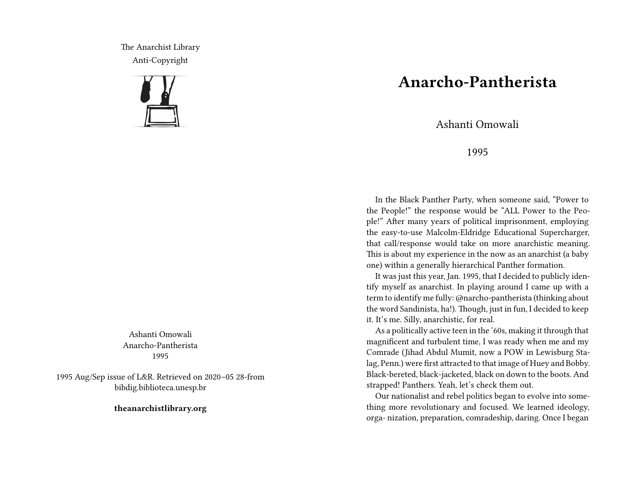The Anarchist Library Anti-Copyright



Ashanti Omowali Anarcho-Pantherista 1995

1995 Aug/Sep issue of L&R. Retrieved on 2020–05 28-from bibdig.biblioteca.unesp.br

**theanarchistlibrary.org**

## **Anarcho-Pantherista**

Ashanti Omowali

1995

In the Black Panther Party, when someone said, "Power to the People!" the response would be "ALL Power to the People!" After many years of political imprisonment, employing the easy-to-use Malcolm-Eldridge Educational Supercharger, that call/response would take on more anarchistic meaning. This is about my experience in the now as an anarchist (a baby one) within a generally hierarchical Panther formation.

It was just this year, Jan. 1995, that I decided to publicly identify myself as anarchist. In playing around I came up with a term to identify me fully: @narcho-pantherista (thinking about the word Sandinista, ha!). Though, just in fun, I decided to keep it. It's me. Silly, anarchistic, for real.

As a politically active teen in the '60s, making it through that magnificent and turbulent time, I was ready when me and my Comrade (Jihad Abdul Mumit, now a POW in Lewisburg Stalag, Penn.) were first attracted to that image of Huey and Bobby. Black-bereted, black-jacketed, black on down to the boots. And strapped! Panthers. Yeah, let's check them out.

Our nationalist and rebel politics began to evolve into something more revolutionary and focused. We learned ideology, orga- nization, preparation, comradeship, daring. Once I began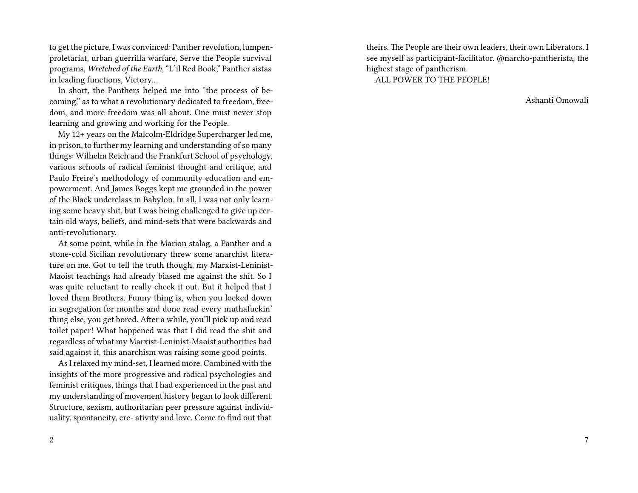to get the picture, I was convinced: Panther revolution, lumpenproletariat, urban guerrilla warfare, Serve the People survival programs, *Wretched of the Earth*, "L'il Red Book," Panther sistas in leading functions, Victory…

In short, the Panthers helped me into "the process of becoming," as to what a revolutionary dedicated to freedom, freedom, and more freedom was all about. One must never stop learning and growing and working for the People.

My 12+ years on the Malcolm-Eldridge Supercharger led me, in prison, to further my learning and understanding of so many things: Wilhelm Reich and the Frankfurt School of psychology, various schools of radical feminist thought and critique, and Paulo Freire's methodology of community education and empowerment. And James Boggs kept me grounded in the power of the Black underclass in Babylon. In all, I was not only learning some heavy shit, but I was being challenged to give up certain old ways, beliefs, and mind-sets that were backwards and anti-revolutionary.

At some point, while in the Marion stalag, a Panther and a stone-cold Sicilian revolutionary threw some anarchist literature on me. Got to tell the truth though, my Marxist-Leninist-Maoist teachings had already biased me against the shit. So I was quite reluctant to really check it out. But it helped that I loved them Brothers. Funny thing is, when you locked down in segregation for months and done read every muthafuckin' thing else, you get bored. After a while, you'll pick up and read toilet paper! What happened was that I did read the shit and regardless of what my Marxist-Leninist-Maoist authorities had said against it, this anarchism was raising some good points.

As I relaxed my mind-set, I learned more. Combined with the insights of the more progressive and radical psychologies and feminist critiques, things that I had experienced in the past and my understanding of movement history began to look different. Structure, sexism, authoritarian peer pressure against individuality, spontaneity, cre- ativity and love. Come to find out that

2

theirs. The People are their own leaders, their own Liberators. I see myself as participant-facilitator. @narcho-pantherista, the highest stage of pantherism. ALL POWER TO THE PEOPLE!

Ashanti Omowali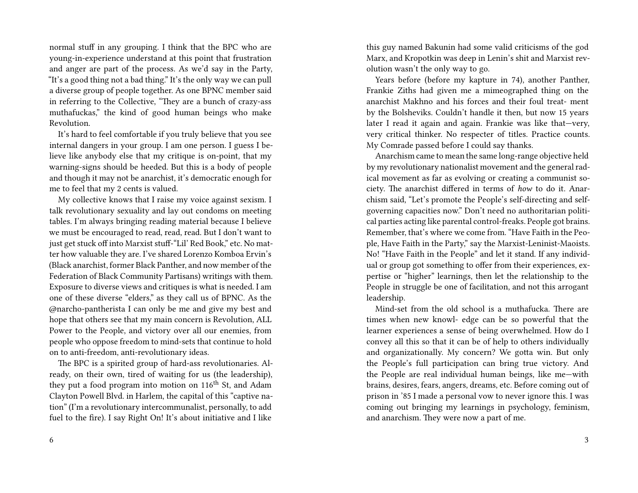normal stuff in any grouping. I think that the BPC who are young-in-experience understand at this point that frustration and anger are part of the process. As we'd say in the Party, "It's a good thing not a bad thing." It's the only way we can pull a diverse group of people together. As one BPNC member said in referring to the Collective, "They are a bunch of crazy-ass muthafuckas," the kind of good human beings who make Revolution.

It's hard to feel comfortable if you truly believe that you see internal dangers in your group. I am one person. I guess I believe like anybody else that my critique is on-point, that my warning-signs should be heeded. But this is a body of people and though it may not be anarchist, it's democratic enough for me to feel that my 2 cents is valued.

My collective knows that I raise my voice against sexism. I talk revolutionary sexuality and lay out condoms on meeting tables. I'm always bringing reading material because I believe we must be encouraged to read, read, read. But I don't want to just get stuck off into Marxist stuff-"Lil' Red Book," etc. No matter how valuable they are. I've shared Lorenzo Komboa Ervin's (Black anarchist, former Black Panther, and now member of the Federation of Black Community Partisans) writings with them. Exposure to diverse views and critiques is what is needed. I am one of these diverse "elders," as they call us of BPNC. As the @narcho-pantherista I can only be me and give my best and hope that others see that my main concern is Revolution, ALL Power to the People, and victory over all our enemies, from people who oppose freedom to mind-sets that continue to hold on to anti-freedom, anti-revolutionary ideas.

The BPC is a spirited group of hard-ass revolutionaries. Already, on their own, tired of waiting for us (the leadership), they put a food program into motion on  $116<sup>th</sup>$  St, and Adam Clayton Powell Blvd. in Harlem, the capital of this "captive nation" (I'm a revolutionary intercommunalist, personally, to add fuel to the fire). I say Right On! It's about initiative and I like

this guy named Bakunin had some valid criticisms of the god Marx, and Kropotkin was deep in Lenin's shit and Marxist revolution wasn't the only way to go.

Years before (before my kapture in 74), another Panther, Frankie Ziths had given me a mimeographed thing on the anarchist Makhno and his forces and their foul treat- ment by the Bolsheviks. Couldn't handle it then, but now 15 years later I read it again and again. Frankie was like that—very, very critical thinker. No respecter of titles. Practice counts. My Comrade passed before I could say thanks.

Anarchism came to mean the same long-range objective held by my revolutionary nationalist movement and the general radical movement as far as evolving or creating a communist society. The anarchist differed in terms of *how* to do it. Anarchism said, "Let's promote the People's self-directing and selfgoverning capacities now." Don't need no authoritarian political parties acting like parental control-freaks. People got brains. Remember, that's where we come from. "Have Faith in the People, Have Faith in the Party," say the Marxist-Leninist-Maoists. No! "Have Faith in the People" and let it stand. If any individual or group got something to offer from their experiences, expertise or "higher" learnings, then let the relationship to the People in struggle be one of facilitation, and not this arrogant leadership.

Mind-set from the old school is a muthafucka. There are times when new knowl- edge can be so powerful that the learner experiences a sense of being overwhelmed. How do I convey all this so that it can be of help to others individually and organizationally. My concern? We gotta win. But only the People's full participation can bring true victory. And the People are real individual human beings, like me—with brains, desires, fears, angers, dreams, etc. Before coming out of prison in '85 I made a personal vow to never ignore this. I was coming out bringing my learnings in psychology, feminism, and anarchism. They were now a part of me.